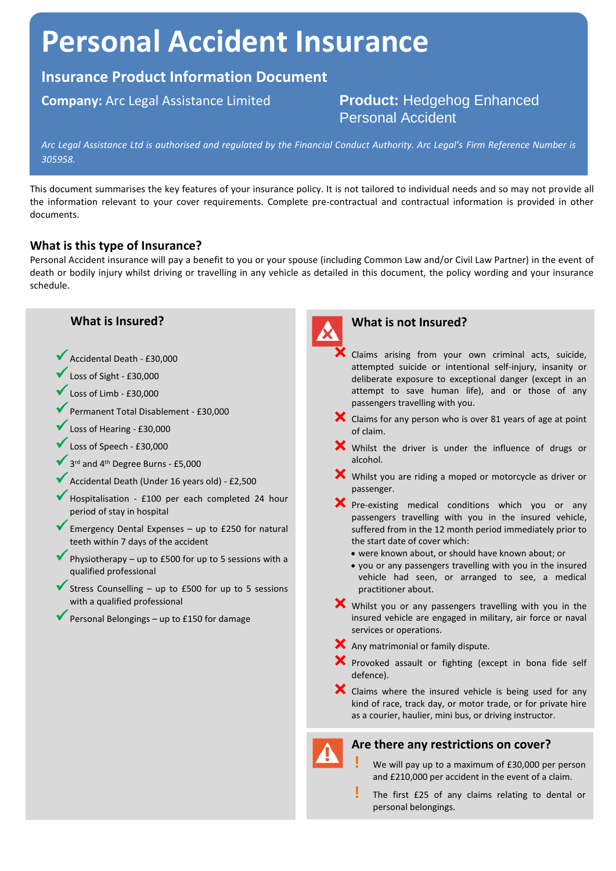# **Personal Accident Insurance**

# **Insurance Product Information Document**

# **Company:** Arc Legal Assistance Limited **Product:** Hedgehog Enhanced Personal Accident

*Arc Legal Assistance Ltd is authorised and regulated by the Financial Conduct Authority. Arc Legal's Firm Reference Number is 305958.*

This document summarises the key features of your insurance policy. It is not tailored to individual needs and so may not provide all the information relevant to your cover requirements. Complete pre-contractual and contractual information is provided in other documents.

## **What is this type of Insurance?**

Personal Accident insurance will pay a benefit to you or your spouse (including Common Law and/or Civil Law Partner) in the event of death or bodily injury whilst driving or travelling in any vehicle as detailed in this document, the policy wording and your insurance schedule.

#### **What is Insured?**

- Accidental Death £30,000
- Loss of Sight £30,000
- Loss of Limb £30,000
- Permanent Total Disablement £30,000
- Loss of Hearing £30,000
- Loss of Speech £30,000
- ◆ 3<sup>rd</sup> and 4<sup>th</sup> Degree Burns £5,000
- Accidental Death (Under 16 years old) £2,500
- Hospitalisation £100 per each completed 24 hour period of stay in hospital
- Emergency Dental Expenses up to £250 for natural teeth within 7 days of the accident
- Physiotherapy up to £500 for up to 5 sessions with a qualified professional
- Stress Counselling up to £500 for up to 5 sessions with a qualified professional
- Personal Belongings up to £150 for damage



### **What is not Insured?**

- Claims arising from your own criminal acts, suicide, attempted suicide or intentional self-injury, insanity or deliberate exposure to exceptional danger (except in an attempt to save human life), and or those of any passengers travelling with you.
- $\blacktriangleright$  Claims for any person who is over 81 years of age at point of claim.
- Whilst the driver is under the influence of drugs or alcohol.
- Whilst you are riding a moped or motorcycle as driver or passenger.
- **X** Pre-existing medical conditions which you or any passengers travelling with you in the insured vehicle, suffered from in the 12 month period immediately prior to the start date of cover which:
	- were known about, or should have known about; or
	- you or any passengers travelling with you in the insured vehicle had seen, or arranged to see, a medical practitioner about.
- Whilst you or any passengers travelling with you in the insured vehicle are engaged in military, air force or naval services or operations.

Any matrimonial or family dispute.

- $\mathsf{\times}$  Provoked assault or fighting (except in bona fide self defence).
- K Claims where the insured vehicle is being used for any kind of race, track day, or motor trade, or for private hire as a courier, haulier, mini bus, or driving instructor.

#### **Are there any restrictions on cover?**



- **!** We will pay up to a maximum of £30,000 per person and £210,000 per accident in the event of a claim.
- **!** The first £25 of any claims relating to dental or personal belongings.